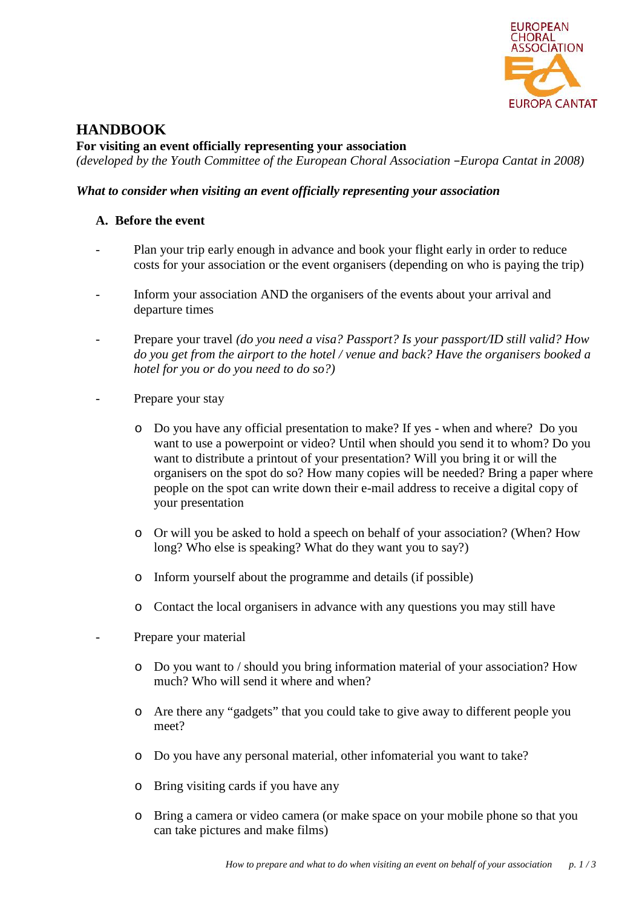

# **HANDBOOK**

**For visiting an event officially representing your association** *(developed by the Youth Committee of the European Choral Association –Europa Cantat in 2008)*

## *What to consider when visiting an event officially representing your association*

## **A. Before the event**

- Plan your trip early enough in advance and book your flight early in order to reduce costs for your association or the event organisers (depending on who is paying the trip)
- Inform your association AND the organisers of the events about your arrival and departure times
- Prepare your travel *(do you need a visa? Passport? Is your passport/ID still valid? How do you get from the airport to the hotel / venue and back? Have the organisers booked a hotel for you or do you need to do so?)*
- Prepare your stay
	- o Do you have any official presentation to make? If yes when and where? Do you want to use a powerpoint or video? Until when should you send it to whom? Do you want to distribute a printout of your presentation? Will you bring it or will the organisers on the spot do so? How many copies will be needed? Bring a paper where people on the spot can write down their e-mail address to receive a digital copy of your presentation
	- o Or will you be asked to hold a speech on behalf of your association? (When? How long? Who else is speaking? What do they want you to say?)
	- o Inform yourself about the programme and details (if possible)
	- o Contact the local organisers in advance with any questions you may still have
	- Prepare your material
		- o Do you want to / should you bring information material of your association? How much? Who will send it where and when?
		- o Are there any "gadgets" that you could take to give away to different people you meet?
		- o Do you have any personal material, other infomaterial you want to take?
		- o Bring visiting cards if you have any
		- o Bring a camera or video camera (or make space on your mobile phone so that you can take pictures and make films)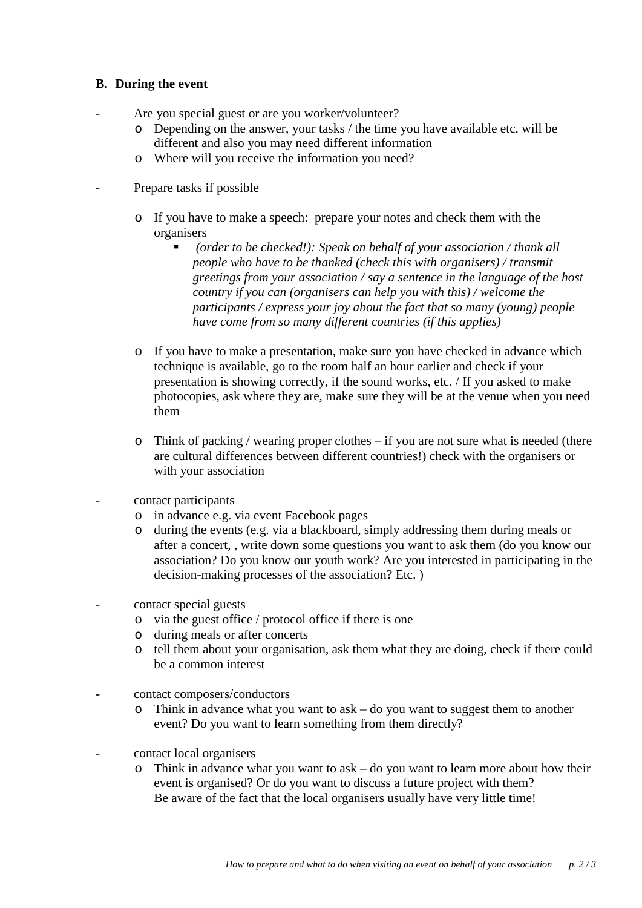#### **B. During the event**

- Are you special guest or are you worker/volunteer?
	- o Depending on the answer, your tasks / the time you have available etc. will be different and also you may need different information
	- o Where will you receive the information you need?
- Prepare tasks if possible
	- o If you have to make a speech: prepare your notes and check them with the organisers
		- *(order to be checked!): Speak on behalf of your association / thank all people who have to be thanked (check this with organisers) / transmit greetings from your association / say a sentence in the language of the host country if you can (organisers can help you with this) / welcome the participants / express your joy about the fact that so many (young) people have come from so many dif erent countries (if this applies)*
	- o If you have to make a presentation, make sure you have checked in advance which technique is available, go to the room half an hour earlier and check if your presentation is showing correctly, if the sound works, etc. / If you asked to make photocopies, ask where they are, make sure they will be at the venue when you need them
	- o Think of packing / wearing proper clothes if you are not sure what is needed (there are cultural differences between different countries!) check with the organisers or with your association
- contact participants
	- o in advance e.g. via event Facebook pages
	- o during the events (e.g. via a blackboard, simply addressing them during meals or after a concert, , write down some questions you want to ask them (do you know our association? Do you know our youth work? Are you interested in participating in the decision-making processes of the association? Etc. )
- contact special guests
	- o via the guest office / protocol office if there is one
	- o during meals or after concerts
	- o tell them about your organisation, ask them what they are doing, check if there could be a common interest
- contact composers/conductors
	- o Think in advance what you want to ask do you want to suggest them to another event? Do you want to learn something from them directly?
- contact local organisers
	- o Think in advance what you want to ask do you want to learn more about how their event is organised? Or do you want to discuss a future project with them? Be aware of the fact that the local organisers usually have very little time!